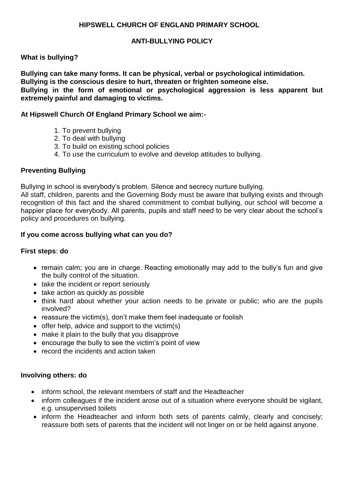# **HIPSWELL CHURCH OF ENGLAND PRIMARY SCHOOL**

# **ANTI-BULLYING POLICY**

# **What is bullying?**

**Bullying can take many forms. It can be physical, verbal or psychological intimidation. Bullying is the conscious desire to hurt, threaten or frighten someone else. Bullying in the form of emotional or psychological aggression is less apparent but extremely painful and damaging to victims.**

#### **At Hipswell Church Of England Primary School we aim:-**

- 1. To prevent bullying
- 2. To deal with bullying
- 3. To build on existing school policies
- 4. To use the curriculum to evolve and develop attitudes to bullying.

# **Preventing Bullying**

Bullying in school is everybody's problem. Silence and secrecy nurture bullying.

All staff, children, parents and the Governing Body must be aware that bullying exists and through recognition of this fact and the shared commitment to combat bullying, our school will become a happier place for everybody. All parents, pupils and staff need to be very clear about the school's policy and procedures on bullying.

#### **If you come across bullying what can you do?**

#### **First steps**: **do**

- remain calm; you are in charge. Reacting emotionally may add to the bully's fun and give the bully control of the situation.
- take the incident or report seriously
- take action as quickly as possible
- think hard about whether your action needs to be private or public; who are the pupils involved?
- reassure the victim(s), don't make them feel inadequate or foolish
- $\bullet$  offer help, advice and support to the victim(s)
- make it plain to the bully that you disapprove
- encourage the bully to see the victim's point of view
- record the incidents and action taken

#### **Involving others: do**

- inform school, the relevant members of staff and the Headteacher
- inform colleagues if the incident arose out of a situation where everyone should be vigilant, e.g. unsupervised toilets
- inform the Headteacher and inform both sets of parents calmly, clearly and concisely; reassure both sets of parents that the incident will not linger on or be held against anyone.